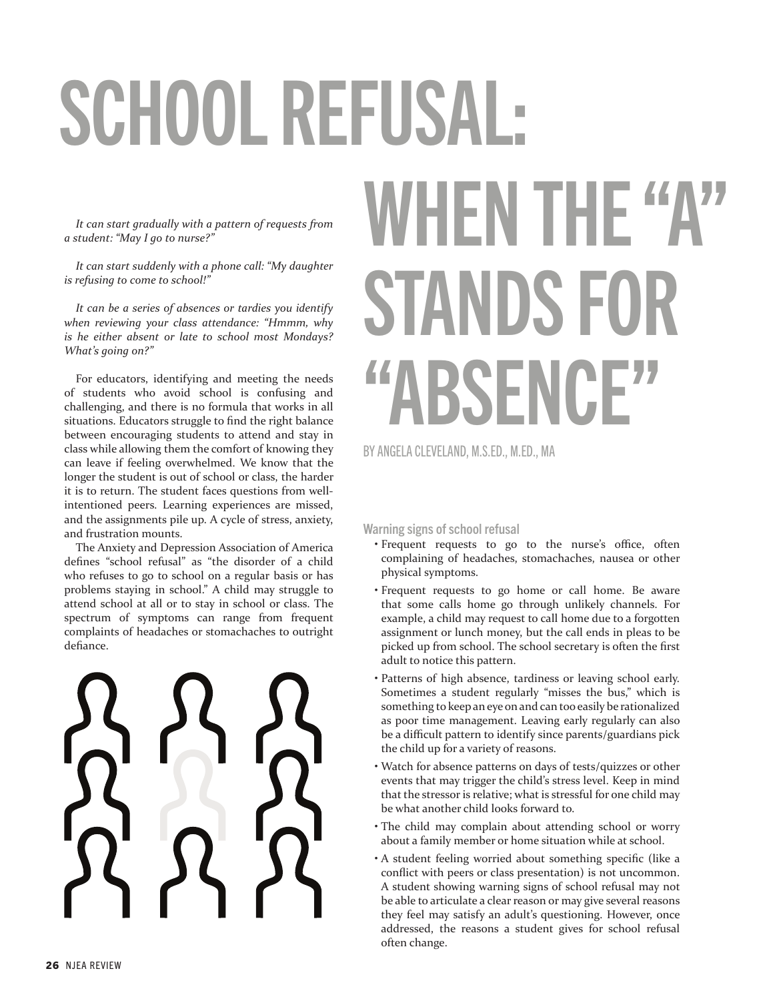# SCHOOL REFUSAL:

*It can start gradually with a pattern of requests from a student: "May I go to nurse?"*

*It can start suddenly with a phone call: "My daughter is refusing to come to school!"*

*It can be a series of absences or tardies you identify when reviewing your class attendance: "Hmmm, why is he either absent or late to school most Mondays? What's going on?"* 

For educators, identifying and meeting the needs of students who avoid school is confusing and challenging, and there is no formula that works in all situations. Educators struggle to find the right balance between encouraging students to attend and stay in class while allowing them the comfort of knowing they can leave if feeling overwhelmed. We know that the longer the student is out of school or class, the harder it is to return. The student faces questions from wellintentioned peers. Learning experiences are missed, and the assignments pile up. A cycle of stress, anxiety, and frustration mounts.

The Anxiety and Depression Association of America defines "school refusal" as "the disorder of a child who refuses to go to school on a regular basis or has problems staying in school." A child may struggle to attend school at all or to stay in school or class. The spectrum of symptoms can range from frequent complaints of headaches or stomachaches to outright defiance.

# WHEN THE "A" STANDS FOR "ABSENCE"

BY ANGELA CLEVELAND, M.S.ED., M.ED., MA

Warning signs of school refusal

- Frequent requests to go to the nurse's office, often complaining of headaches, stomachaches, nausea or other physical symptoms.
- Frequent requests to go home or call home. Be aware that some calls home go through unlikely channels. For example, a child may request to call home due to a forgotten assignment or lunch money, but the call ends in pleas to be picked up from school. The school secretary is often the first adult to notice this pattern.
- Patterns of high absence, tardiness or leaving school early. Sometimes a student regularly "misses the bus," which is something to keep an eye on and can too easily be rationalized as poor time management. Leaving early regularly can also be a difficult pattern to identify since parents/guardians pick the child up for a variety of reasons.
- Watch for absence patterns on days of tests/quizzes or other events that may trigger the child's stress level. Keep in mind that the stressor is relative; what is stressful for one child may be what another child looks forward to.
- The child may complain about attending school or worry about a family member or home situation while at school.
- A student feeling worried about something specific (like a conflict with peers or class presentation) is not uncommon. A student showing warning signs of school refusal may not be able to articulate a clear reason or may give several reasons they feel may satisfy an adult's questioning. However, once addressed, the reasons a student gives for school refusal often change.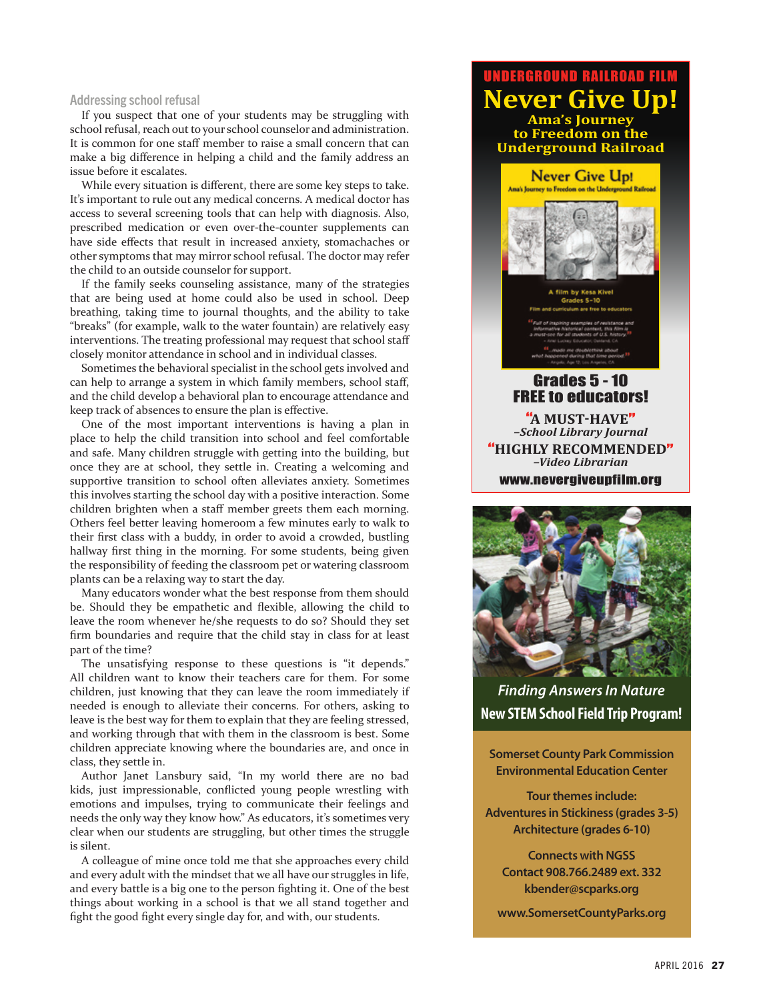#### Addressing school refusal

If you suspect that one of your students may be struggling with school refusal, reach out to your school counselor and administration. It is common for one staff member to raise a small concern that can make a big difference in helping a child and the family address an issue before it escalates.

While every situation is different, there are some key steps to take. It's important to rule out any medical concerns. A medical doctor has access to several screening tools that can help with diagnosis. Also, prescribed medication or even over-the-counter supplements can have side effects that result in increased anxiety, stomachaches or other symptoms that may mirror school refusal. The doctor may refer the child to an outside counselor for support.

If the family seeks counseling assistance, many of the strategies that are being used at home could also be used in school. Deep breathing, taking time to journal thoughts, and the ability to take "breaks" (for example, walk to the water fountain) are relatively easy interventions. The treating professional may request that school staff closely monitor attendance in school and in individual classes.

Sometimes the behavioral specialist in the school gets involved and can help to arrange a system in which family members, school staff, and the child develop a behavioral plan to encourage attendance and keep track of absences to ensure the plan is effective.

One of the most important interventions is having a plan in place to help the child transition into school and feel comfortable and safe. Many children struggle with getting into the building, but once they are at school, they settle in. Creating a welcoming and supportive transition to school often alleviates anxiety. Sometimes this involves starting the school day with a positive interaction. Some children brighten when a staff member greets them each morning. Others feel better leaving homeroom a few minutes early to walk to their first class with a buddy, in order to avoid a crowded, bustling hallway first thing in the morning. For some students, being given the responsibility of feeding the classroom pet or watering classroom plants can be a relaxing way to start the day.

Many educators wonder what the best response from them should be. Should they be empathetic and flexible, allowing the child to leave the room whenever he/she requests to do so? Should they set firm boundaries and require that the child stay in class for at least part of the time?

The unsatisfying response to these questions is "it depends." All children want to know their teachers care for them. For some children, just knowing that they can leave the room immediately if needed is enough to alleviate their concerns. For others, asking to leave is the best way for them to explain that they are feeling stressed, and working through that with them in the classroom is best. Some children appreciate knowing where the boundaries are, and once in class, they settle in.

Author Janet Lansbury said, "In my world there are no bad kids, just impressionable, conflicted young people wrestling with emotions and impulses, trying to communicate their feelings and needs the only way they know how." As educators, it's sometimes very clear when our students are struggling, but other times the struggle is silent.

A colleague of mine once told me that she approaches every child and every adult with the mindset that we all have our struggles in life, and every battle is a big one to the person fighting it. One of the best things about working in a school is that we all stand together and fight the good fight every single day for, and with, our students.

### UNDERGROUND RAILROAD FILM **Never Give Up! Ama's Journey to Freedom on the**



www.nevergiveupfilm.org

*Finding Answers In Nature* **New STEM School Field Trip Program!**

**Somerset County Park Commission Environmental Education Center**

**Tour themes include: Adventures in Stickiness (grades 3-5) Architecture (grades 6-10)**

**Connects with NGSS Contact 908.766.2489 ext. 332 kbender@scparks.org**

**www.SomersetCountyParks.org**